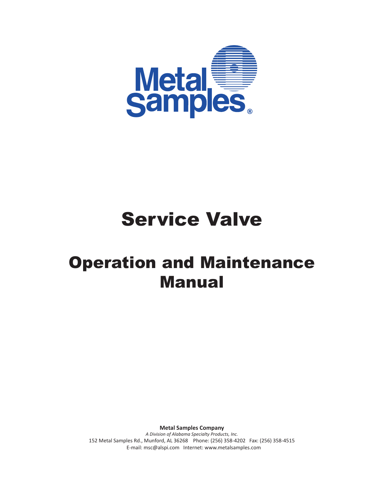

# Service Valve

## Operation and Maintenance Manual

**Metal Samples Company**

*A Division of Alabama Specialty Products, Inc.* 152 Metal Samples Rd., Munford, AL 36268 Phone: (256) 358-4202 Fax: (256) 358-4515 E-mail: msc@alspi.com Internet: www.metalsamples.com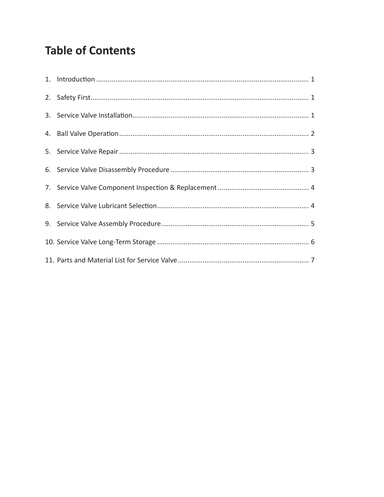### **Table of Contents**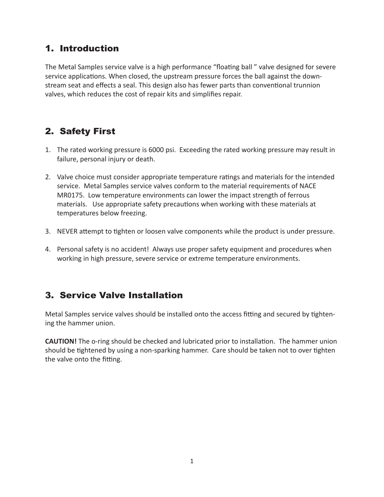#### 1. Introduction

The Metal Samples service valve is a high performance "floating ball " valve designed for severe service applications. When closed, the upstream pressure forces the ball against the downstream seat and effects a seal. This design also has fewer parts than conventional trunnion valves, which reduces the cost of repair kits and simplifies repair.

#### 2. Safety First

- 1. The rated working pressure is 6000 psi. Exceeding the rated working pressure may result in failure, personal injury or death.
- 2. Valve choice must consider appropriate temperature ratings and materials for the intended service. Metal Samples service valves conform to the material requirements of NACE MR0175. Low temperature environments can lower the impact strength of ferrous materials. Use appropriate safety precautions when working with these materials at temperatures below freezing.
- 3. NEVER attempt to tighten or loosen valve components while the product is under pressure.
- 4. Personal safety is no accident! Always use proper safety equipment and procedures when working in high pressure, severe service or extreme temperature environments.

#### 3. Service Valve Installation

Metal Samples service valves should be installed onto the access fitting and secured by tightening the hammer union.

**CAUTION!** The o-ring should be checked and lubricated prior to installation. The hammer union should be tightened by using a non-sparking hammer. Care should be taken not to over tighten the valve onto the fitting.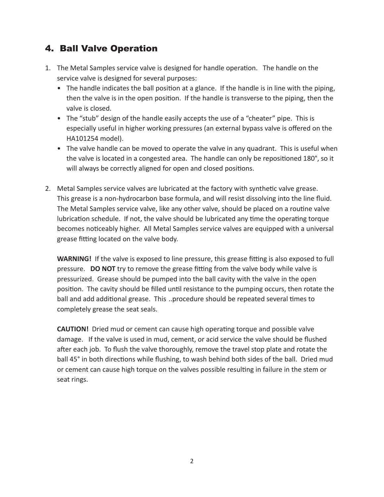#### 4. Ball Valve Operation

- 1. The Metal Samples service valve is designed for handle operation. The handle on the service valve is designed for several purposes:
	- The handle indicates the ball position at a glance. If the handle is in line with the piping, then the valve is in the open position. If the handle is transverse to the piping, then the valve is closed.
	- The "stub" design of the handle easily accepts the use of a "cheater" pipe. This is especially useful in higher working pressures (an external bypass valve is offered on the HA101254 model).
	- The valve handle can be moved to operate the valve in any quadrant. This is useful when the valve is located in a congested area. The handle can only be repositioned 180°, so it will always be correctly aligned for open and closed positions.
- 2. Metal Samples service valves are lubricated at the factory with synthetic valve grease. This grease is a non-hydrocarbon base formula, and will resist dissolving into the line fluid. The Metal Samples service valve, like any other valve, should be placed on a routine valve lubrication schedule. If not, the valve should be lubricated any time the operating torque becomes noticeably higher. All Metal Samples service valves are equipped with a universal grease fitting located on the valve body.

**WARNING!** If the valve is exposed to line pressure, this grease fitting is also exposed to full pressure. **DO NOT** try to remove the grease fitting from the valve body while valve is pressurized. Grease should be pumped into the ball cavity with the valve in the open position. The cavity should be filled until resistance to the pumping occurs, then rotate the ball and add additional grease. This ..procedure should be repeated several times to completely grease the seat seals.

**CAUTION!** Dried mud or cement can cause high operating torque and possible valve damage. If the valve is used in mud, cement, or acid service the valve should be flushed after each job. To flush the valve thoroughly, remove the travel stop plate and rotate the ball 45° in both directions while flushing, to wash behind both sides of the ball. Dried mud or cement can cause high torque on the valves possible resulting in failure in the stem or seat rings.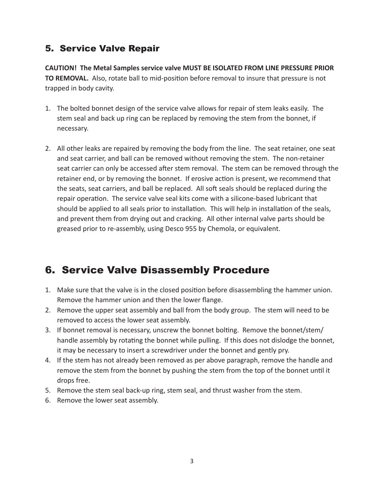#### 5. Service Valve Repair

**CAUTION! The Metal Samples service valve MUST BE ISOLATED FROM LINE PRESSURE PRIOR TO REMOVAL.** Also, rotate ball to mid-position before removal to insure that pressure is not trapped in body cavity.

- 1. The bolted bonnet design of the service valve allows for repair of stem leaks easily. The stem seal and back up ring can be replaced by removing the stem from the bonnet, if necessary.
- 2. All other leaks are repaired by removing the body from the line. The seat retainer, one seat and seat carrier, and ball can be removed without removing the stem. The non-retainer seat carrier can only be accessed after stem removal. The stem can be removed through the retainer end, or by removing the bonnet. If erosive action is present, we recommend that the seats, seat carriers, and ball be replaced. All soft seals should be replaced during the repair operation. The service valve seal kits come with a silicone-based lubricant that should be applied to all seals prior to installation. This will help in installation of the seals, and prevent them from drying out and cracking. All other internal valve parts should be greased prior to re-assembly, using Desco 955 by Chemola, or equivalent.

#### 6. Service Valve Disassembly Procedure

- 1. Make sure that the valve is in the closed position before disassembling the hammer union. Remove the hammer union and then the lower flange.
- 2. Remove the upper seat assembly and ball from the body group. The stem will need to be removed to access the lower seat assembly.
- 3. If bonnet removal is necessary, unscrew the bonnet bolting. Remove the bonnet/stem/ handle assembly by rotating the bonnet while pulling. If this does not dislodge the bonnet, it may be necessary to insert a screwdriver under the bonnet and gently pry.
- 4. If the stem has not already been removed as per above paragraph, remove the handle and remove the stem from the bonnet by pushing the stem from the top of the bonnet until it drops free.
- 5. Remove the stem seal back-up ring, stem seal, and thrust washer from the stem.
- 6. Remove the lower seat assembly.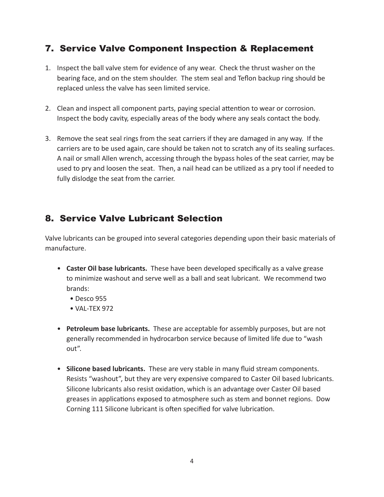#### 7. Service Valve Component Inspection & Replacement

- 1. Inspect the ball valve stem for evidence of any wear. Check the thrust washer on the bearing face, and on the stem shoulder. The stem seal and Teflon backup ring should be replaced unless the valve has seen limited service.
- 2. Clean and inspect all component parts, paying special attention to wear or corrosion. Inspect the body cavity, especially areas of the body where any seals contact the body.
- 3. Remove the seat seal rings from the seat carriers if they are damaged in any way. If the carriers are to be used again, care should be taken not to scratch any of its sealing surfaces. A nail or small Allen wrench, accessing through the bypass holes of the seat carrier, may be used to pry and loosen the seat. Then, a nail head can be utilized as a pry tool if needed to fully dislodge the seat from the carrier.

#### 8. Service Valve Lubricant Selection

Valve lubricants can be grouped into several categories depending upon their basic materials of manufacture.

- **Caster Oil base lubricants.** These have been developed specifically as a valve grease to minimize washout and serve well as a ball and seat lubricant. We recommend two brands:
	- Desco 955
	- VAL-TEX 972
- **Petroleum base lubricants.** These are acceptable for assembly purposes, but are not generally recommended in hydrocarbon service because of limited life due to "wash out".
- **Silicone based lubricants.** These are very stable in many fluid stream components. Resists "washout", but they are very expensive compared to Caster Oil based lubricants. Silicone lubricants also resist oxidation, which is an advantage over Caster Oil based greases in applications exposed to atmosphere such as stem and bonnet regions. Dow Corning 111 Silicone lubricant is often specified for valve lubrication.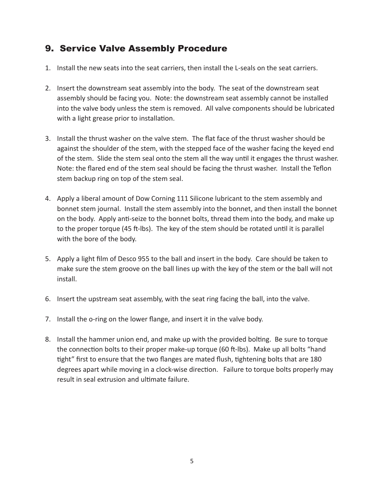#### 9. Service Valve Assembly Procedure

- 1. Install the new seats into the seat carriers, then install the L-seals on the seat carriers.
- 2. Insert the downstream seat assembly into the body. The seat of the downstream seat assembly should be facing you. Note: the downstream seat assembly cannot be installed into the valve body unless the stem is removed. All valve components should be lubricated with a light grease prior to installation.
- 3. Install the thrust washer on the valve stem. The flat face of the thrust washer should be against the shoulder of the stem, with the stepped face of the washer facing the keyed end of the stem. Slide the stem seal onto the stem all the way until it engages the thrust washer. Note: the flared end of the stem seal should be facing the thrust washer. Install the Teflon stem backup ring on top of the stem seal.
- 4. Apply a liberal amount of Dow Corning 111 Silicone lubricant to the stem assembly and bonnet stem journal. Install the stem assembly into the bonnet, and then install the bonnet on the body. Apply anti-seize to the bonnet bolts, thread them into the body, and make up to the proper torque (45 ft-lbs). The key of the stem should be rotated until it is parallel with the bore of the body.
- 5. Apply a light film of Desco 955 to the ball and insert in the body. Care should be taken to make sure the stem groove on the ball lines up with the key of the stem or the ball will not install.
- 6. Insert the upstream seat assembly, with the seat ring facing the ball, into the valve.
- 7. Install the o-ring on the lower flange, and insert it in the valve body.
- 8. Install the hammer union end, and make up with the provided bolting. Be sure to torque the connection bolts to their proper make-up torque (60 ft-lbs). Make up all bolts "hand tight" first to ensure that the two flanges are mated flush, tightening bolts that are 180 degrees apart while moving in a clock-wise direction. Failure to torque bolts properly may result in seal extrusion and ultimate failure.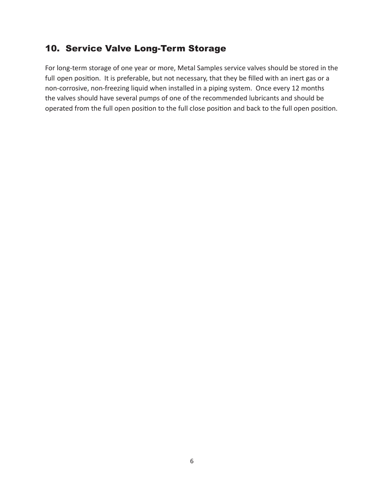#### 10. Service Valve Long-Term Storage

For long-term storage of one year or more, Metal Samples service valves should be stored in the full open position. It is preferable, but not necessary, that they be filled with an inert gas or a non-corrosive, non-freezing liquid when installed in a piping system. Once every 12 months the valves should have several pumps of one of the recommended lubricants and should be operated from the full open position to the full close position and back to the full open position.